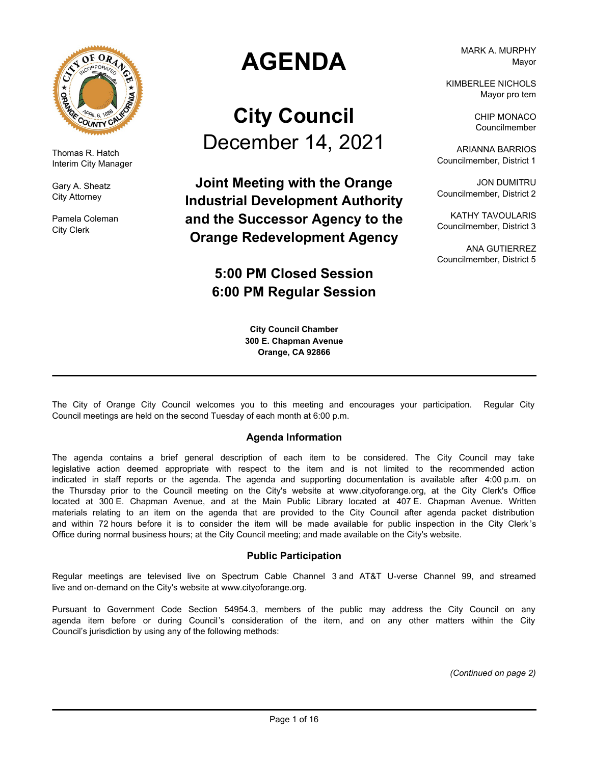

Thomas R. Hatch Interim City Manager

Gary A. Sheatz City Attorney

Pamela Coleman City Clerk

# **AGENDA**

# **City Council** December 14, 2021

**Joint Meeting with the Orange Industrial Development Authority and the Successor Agency to the Orange Redevelopment Agency**

## **5:00 PM Closed Session 6:00 PM Regular Session**

**City Council Chamber 300 E. Chapman Avenue Orange, CA 92866**

MARK A. MURPHY Mayor

KIMBERLEE NICHOLS Mayor pro tem

> CHIP MONACO Councilmember

ARIANNA BARRIOS Councilmember, District 1

JON DUMITRU Councilmember, District 2

KATHY TAVOULARIS Councilmember, District 3

ANA GUTIERREZ Councilmember, District 5

The City of Orange City Council welcomes you to this meeting and encourages your participation. Regular City Council meetings are held on the second Tuesday of each month at 6:00 p.m.

### **Agenda Information**

The agenda contains a brief general description of each item to be considered. The City Council may take legislative action deemed appropriate with respect to the item and is not limited to the recommended action indicated in staff reports or the agenda. The agenda and supporting documentation is available after 4:00 p.m. on the Thursday prior to the Council meeting on the City's website at www.cityoforange.org, at the City Clerk's Office located at 300 E. Chapman Avenue, and at the Main Public Library located at 407 E. Chapman Avenue. Written materials relating to an item on the agenda that are provided to the City Council after agenda packet distribution and within 72 hours before it is to consider the item will be made available for public inspection in the City Clerk 's Office during normal business hours; at the City Council meeting; and made available on the City's website.

#### **Public Participation**

Regular meetings are televised live on Spectrum Cable Channel 3 and AT&T U-verse Channel 99, and streamed live and on-demand on the City's website at www.cityoforange.org.

Pursuant to Government Code Section 54954.3, members of the public may address the City Council on any agenda item before or during Council's consideration of the item, and on any other matters within the City Council's jurisdiction by using any of the following methods:

*(Continued on page 2)*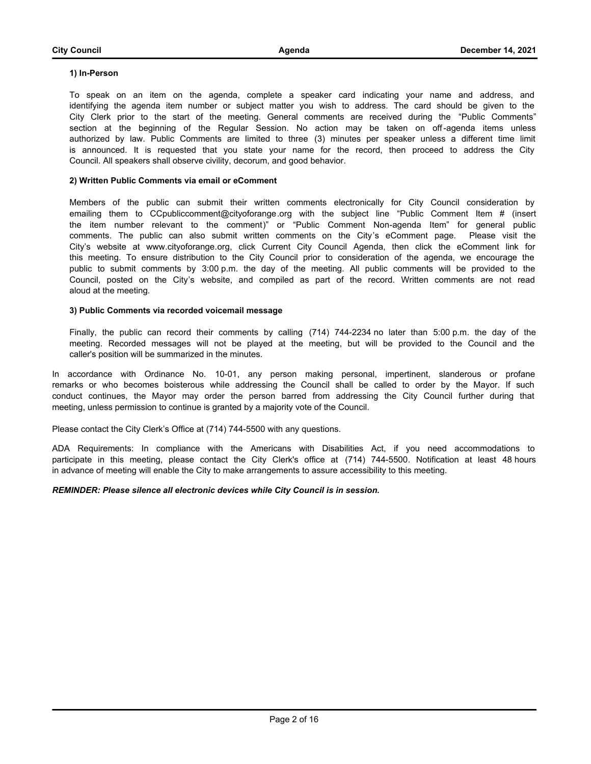#### **1) In-Person**

To speak on an item on the agenda, complete a speaker card indicating your name and address, and identifying the agenda item number or subject matter you wish to address. The card should be given to the City Clerk prior to the start of the meeting. General comments are received during the "Public Comments" section at the beginning of the Regular Session. No action may be taken on off-agenda items unless authorized by law. Public Comments are limited to three (3) minutes per speaker unless a different time limit is announced. It is requested that you state your name for the record, then proceed to address the City Council. All speakers shall observe civility, decorum, and good behavior.

#### **2) Written Public Comments via email or eComment**

Members of the public can submit their written comments electronically for City Council consideration by emailing them to CCpubliccomment@cityoforange.org with the subject line "Public Comment Item # (insert the item number relevant to the comment)" or "Public Comment Non-agenda Item" for general public comments. The public can also submit written comments on the City's eComment page. Please visit the City's website at www.cityoforange.org, click Current City Council Agenda, then click the eComment link for this meeting. To ensure distribution to the City Council prior to consideration of the agenda, we encourage the public to submit comments by 3:00 p.m. the day of the meeting. All public comments will be provided to the Council, posted on the City's website, and compiled as part of the record. Written comments are not read aloud at the meeting.

#### **3) Public Comments via recorded voicemail message**

Finally, the public can record their comments by calling (714) 744-2234 no later than 5:00 p.m. the day of the meeting. Recorded messages will not be played at the meeting, but will be provided to the Council and the caller's position will be summarized in the minutes.

In accordance with Ordinance No. 10-01, any person making personal, impertinent, slanderous or profane remarks or who becomes boisterous while addressing the Council shall be called to order by the Mayor. If such conduct continues, the Mayor may order the person barred from addressing the City Council further during that meeting, unless permission to continue is granted by a majority vote of the Council.

Please contact the City Clerk's Office at (714) 744-5500 with any questions.

ADA Requirements: In compliance with the Americans with Disabilities Act, if you need accommodations to participate in this meeting, please contact the City Clerk's office at (714) 744-5500. Notification at least 48 hours in advance of meeting will enable the City to make arrangements to assure accessibility to this meeting.

#### *REMINDER: Please silence all electronic devices while City Council is in session.*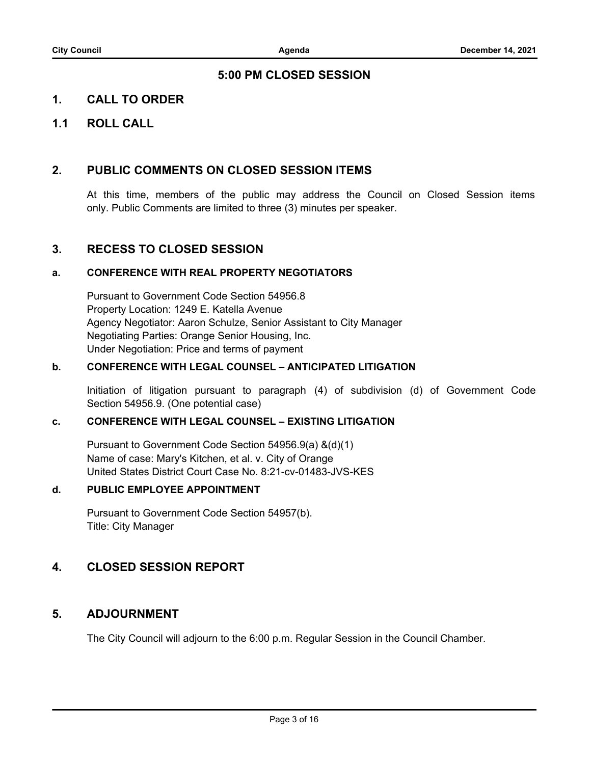### **5:00 PM CLOSED SESSION**

## **1. CALL TO ORDER**

## **1.1 ROLL CALL**

### **2. PUBLIC COMMENTS ON CLOSED SESSION ITEMS**

At this time, members of the public may address the Council on Closed Session items only. Public Comments are limited to three (3) minutes per speaker.

### **3. RECESS TO CLOSED SESSION**

### **a. CONFERENCE WITH REAL PROPERTY NEGOTIATORS**

Pursuant to Government Code Section 54956.8 Property Location: 1249 E. Katella Avenue Agency Negotiator: Aaron Schulze, Senior Assistant to City Manager Negotiating Parties: Orange Senior Housing, Inc. Under Negotiation: Price and terms of payment

### **b. CONFERENCE WITH LEGAL COUNSEL – ANTICIPATED LITIGATION**

Initiation of litigation pursuant to paragraph (4) of subdivision (d) of Government Code Section 54956.9. (One potential case)

### **c. CONFERENCE WITH LEGAL COUNSEL – EXISTING LITIGATION**

Pursuant to Government Code Section 54956.9(a) &(d)(1) Name of case: Mary's Kitchen, et al. v. City of Orange United States District Court Case No. 8:21-cv-01483-JVS-KES

### **d. PUBLIC EMPLOYEE APPOINTMENT**

Pursuant to Government Code Section 54957(b). Title: City Manager

### **4. CLOSED SESSION REPORT**

### **5. ADJOURNMENT**

The City Council will adjourn to the 6:00 p.m. Regular Session in the Council Chamber.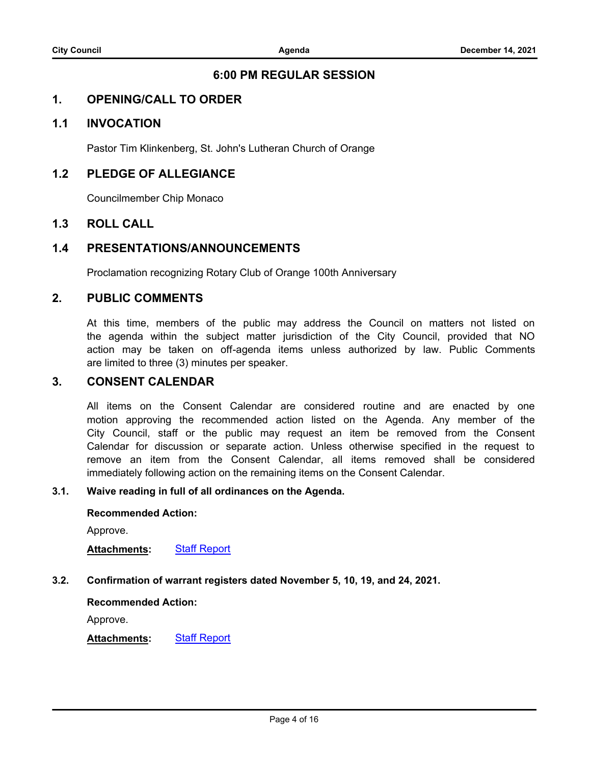### **6:00 PM REGULAR SESSION**

### **1. OPENING/CALL TO ORDER**

### **1.1 INVOCATION**

Pastor Tim Klinkenberg, St. John's Lutheran Church of Orange

### **1.2 PLEDGE OF ALLEGIANCE**

Councilmember Chip Monaco

### **1.3 ROLL CALL**

### **1.4 PRESENTATIONS/ANNOUNCEMENTS**

Proclamation recognizing Rotary Club of Orange 100th Anniversary

### **2. PUBLIC COMMENTS**

At this time, members of the public may address the Council on matters not listed on the agenda within the subject matter jurisdiction of the City Council, provided that NO action may be taken on off-agenda items unless authorized by law. Public Comments are limited to three (3) minutes per speaker.

### **3. CONSENT CALENDAR**

All items on the Consent Calendar are considered routine and are enacted by one motion approving the recommended action listed on the Agenda. Any member of the City Council, staff or the public may request an item be removed from the Consent Calendar for discussion or separate action. Unless otherwise specified in the request to remove an item from the Consent Calendar, all items removed shall be considered immediately following action on the remaining items on the Consent Calendar.

### **3.1. [Waive reading in full of all ordinances on the Agenda.](http://cityoforange.legistar.com/gateway.aspx?m=l&id=/matter.aspx?key=2340)**

#### **Recommended Action:**

Approve.

**Attachments:** [Staff Report](http://cityoforange.legistar.com/gateway.aspx?M=F&ID=493203ae-c8f2-4d28-a54b-5f08574c368e.pdf)

### **3.2. [Confirmation of warrant registers dated November 5, 10, 19, and 24, 2021.](http://cityoforange.legistar.com/gateway.aspx?m=l&id=/matter.aspx?key=2339)**

### **Recommended Action:**

Approve.

### **Attachments:** [Staff Report](http://cityoforange.legistar.com/gateway.aspx?M=F&ID=d2069424-c2d7-4a2b-949c-d790eeffda4f.pdf)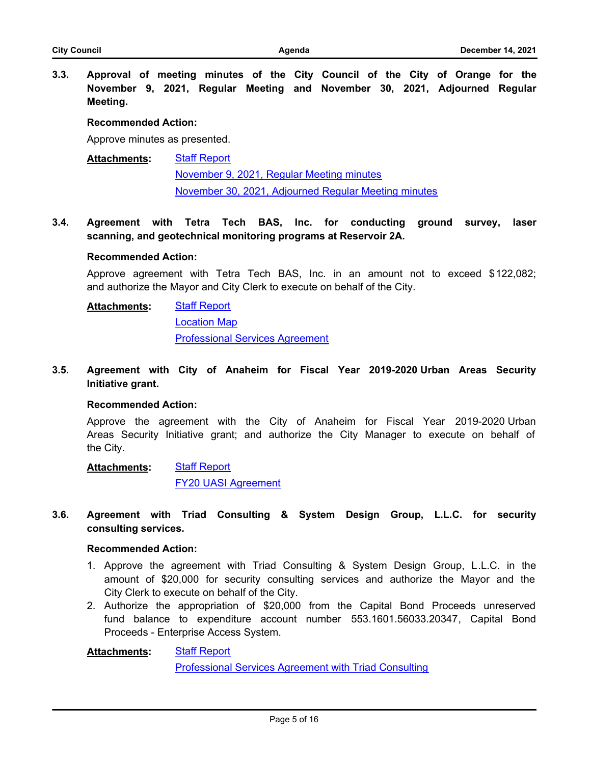**3.3. [Approval of meeting minutes of the City Council of the City of Orange for the](http://cityoforange.legistar.com/gateway.aspx?m=l&id=/matter.aspx?key=2338) November 9, 2021, Regular Meeting and November 30, 2021, Adjourned Regular Meeting.**

#### **Recommended Action:**

Approve minutes as presented.

#### [Staff Report](http://cityoforange.legistar.com/gateway.aspx?M=F&ID=d603236a-0096-418a-b872-8b9437b367f9.pdf) [November 9, 2021, Regular Meeting minutes](http://cityoforange.legistar.com/gateway.aspx?M=F&ID=de4987db-6b37-4342-8141-706a99d60aa8.pdf) [November 30, 2021, Adjourned Regular Meeting minutes](http://cityoforange.legistar.com/gateway.aspx?M=F&ID=aaa496ee-4d29-4e56-8c5f-0e4b8d248624.pdf) **Attachments:**

**3.4. [Agreement with Tetra Tech BAS, Inc. for conducting ground survey, laser](http://cityoforange.legistar.com/gateway.aspx?m=l&id=/matter.aspx?key=2330) scanning, and geotechnical monitoring programs at Reservoir 2A.**

#### **Recommended Action:**

Approve agreement with Tetra Tech BAS, Inc. in an amount not to exceed \$122,082; and authorize the Mayor and City Clerk to execute on behalf of the City.

[Staff Report](http://cityoforange.legistar.com/gateway.aspx?M=F&ID=4fa5bfce-f032-4ad8-849a-30e0c6db9994.pdf) **Attachments:**

[Location Map](http://cityoforange.legistar.com/gateway.aspx?M=F&ID=f4681648-e442-4ebf-b9f4-58150c6208d3.pdf) [Professional Services Agreement](http://cityoforange.legistar.com/gateway.aspx?M=F&ID=1770ade9-89d2-4e3b-8409-880065b55b7f.pdf)

**3.5. [Agreement with City of Anaheim for Fiscal Year 2019-2020 Urban Areas Security](http://cityoforange.legistar.com/gateway.aspx?m=l&id=/matter.aspx?key=2337) Initiative grant.**

#### **Recommended Action:**

Approve the agreement with the City of Anaheim for Fiscal Year 2019-2020 Urban Areas Security Initiative grant; and authorize the City Manager to execute on behalf of the City.

**[Staff Report](http://cityoforange.legistar.com/gateway.aspx?M=F&ID=ae12dd05-bd3a-4289-871b-b21bb0c19ee0.pdf)** [FY20 UASI Agreement](http://cityoforange.legistar.com/gateway.aspx?M=F&ID=720ab05a-cc7c-4700-81dd-95ef0c662449.pdf) **Attachments:**

**3.6. [Agreement with Triad Consulting & System Design Group, L.L.C. for security](http://cityoforange.legistar.com/gateway.aspx?m=l&id=/matter.aspx?key=2371) consulting services.**

#### **Recommended Action:**

- 1. Approve the agreement with Triad Consulting & System Design Group, L.L.C. in the amount of \$20,000 for security consulting services and authorize the Mayor and the City Clerk to execute on behalf of the City.
- 2. Authorize the appropriation of \$20,000 from the Capital Bond Proceeds unreserved fund balance to expenditure account number 553.1601.56033.20347, Capital Bond Proceeds - Enterprise Access System.

**[Staff Report](http://cityoforange.legistar.com/gateway.aspx?M=F&ID=11d3a53c-d73b-463b-8594-eee189ea28a6.pdf)** [Professional Services Agreement with Triad Consulting](http://cityoforange.legistar.com/gateway.aspx?M=F&ID=abcc698c-7813-4bda-98a6-d5cdeeb9b1cd.pdf) **Attachments:**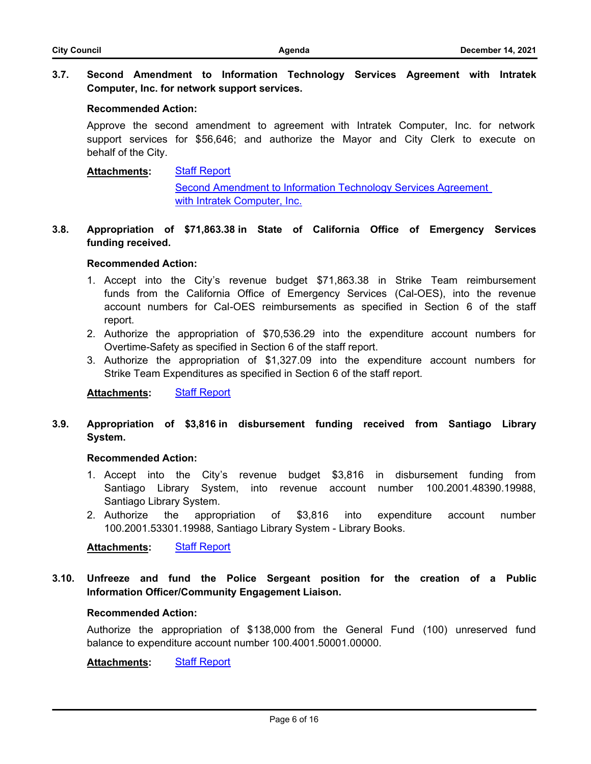### **3.7. [Second Amendment to Information Technology Services Agreement with Intratek](http://cityoforange.legistar.com/gateway.aspx?m=l&id=/matter.aspx?key=2347) Computer, Inc. for network support services.**

#### **Recommended Action:**

Approve the second amendment to agreement with Intratek Computer, Inc. for network support services for \$56,646; and authorize the Mayor and City Clerk to execute on behalf of the City.

#### [Staff Report](http://cityoforange.legistar.com/gateway.aspx?M=F&ID=81ea2196-59e7-433a-b0f0-7cef2343065c.pdf) **Attachments:**

[Second Amendment to Information Technology Services Agreement](http://cityoforange.legistar.com/gateway.aspx?M=F&ID=86178d90-06d7-4cbc-8b83-6570c0d23eb2.pdf)  with Intratek Computer, Inc.

### **3.8. [Appropriation of \\$71,863.38 in State of California Office of Emergency Services](http://cityoforange.legistar.com/gateway.aspx?m=l&id=/matter.aspx?key=2352) funding received.**

#### **Recommended Action:**

- 1. Accept into the City's revenue budget \$71,863.38 in Strike Team reimbursement funds from the California Office of Emergency Services (Cal-OES), into the revenue account numbers for Cal-OES reimbursements as specified in Section 6 of the staff report.
- 2. Authorize the appropriation of \$70,536.29 into the expenditure account numbers for Overtime-Safety as specified in Section 6 of the staff report.
- 3. Authorize the appropriation of \$1,327.09 into the expenditure account numbers for Strike Team Expenditures as specified in Section 6 of the staff report.

**Attachments:** [Staff Report](http://cityoforange.legistar.com/gateway.aspx?M=F&ID=86d8577d-17de-408d-9805-cf24fa9047ea.pdf)

### **3.9. [Appropriation of \\$3,816 in disbursement funding received from Santiago Library](http://cityoforange.legistar.com/gateway.aspx?m=l&id=/matter.aspx?key=2360) System.**

#### **Recommended Action:**

- 1. Accept into the City's revenue budget \$3,816 in disbursement funding from Santiago Library System, into revenue account number 100.2001.48390.19988, Santiago Library System.
- 2. Authorize the appropriation of \$3,816 into expenditure account number 100.2001.53301.19988, Santiago Library System - Library Books.

**Attachments:** [Staff Report](http://cityoforange.legistar.com/gateway.aspx?M=F&ID=895cb362-9843-4b46-81c5-66a56a7f3c82.pdf)

**3.10. [Unfreeze and fund the Police Sergeant position for the creation of a Public](http://cityoforange.legistar.com/gateway.aspx?m=l&id=/matter.aspx?key=2364) Information Officer/Community Engagement Liaison.**

#### **Recommended Action:**

Authorize the appropriation of \$138,000 from the General Fund (100) unreserved fund balance to expenditure account number 100.4001.50001.00000.

**Attachments:** [Staff Report](http://cityoforange.legistar.com/gateway.aspx?M=F&ID=dbf3dca6-df01-4f08-b1eb-687919921415.pdf)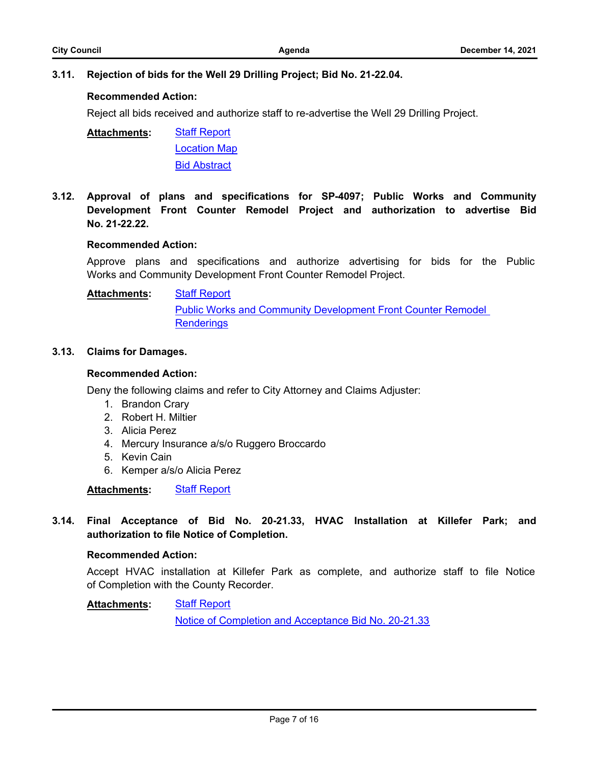## **Recommended Action:**

Reject all bids received and authorize staff to re-advertise the Well 29 Drilling Project.

[Staff Report](http://cityoforange.legistar.com/gateway.aspx?M=F&ID=6b68e5cb-3746-47e2-90a4-dd6469d6ccc6.pdf) [Location Map](http://cityoforange.legistar.com/gateway.aspx?M=F&ID=ae655e93-15ec-4b38-a9a6-d57de47cbf68.pdf) [Bid Abstract](http://cityoforange.legistar.com/gateway.aspx?M=F&ID=a083833c-0b70-47a6-87d1-ac6163128af5.pdf) **Attachments:**

**3.12. [Approval of plans and specifications for SP-4097; Public Works and Community](http://cityoforange.legistar.com/gateway.aspx?m=l&id=/matter.aspx?key=2367) Development Front Counter Remodel Project and authorization to advertise Bid No. 21-22.22.**

## **Recommended Action:**

Approve plans and specifications and authorize advertising for bids for the Public Works and Community Development Front Counter Remodel Project.

#### [Staff Report](http://cityoforange.legistar.com/gateway.aspx?M=F&ID=960c67df-8897-4fb8-ba93-af689a53c494.pdf) **Attachments:**

[Public Works and Community Development Front Counter Remodel](http://cityoforange.legistar.com/gateway.aspx?M=F&ID=c39cf4f9-f115-42e7-b65e-9c6212e61bfc.pdf)  **Renderings** 

## **3.13. [Claims for Damages.](http://cityoforange.legistar.com/gateway.aspx?m=l&id=/matter.aspx?key=2362)**

## **Recommended Action:**

Deny the following claims and refer to City Attorney and Claims Adjuster:

- 1. Brandon Crary
- 2. Robert H. Miltier
- 3. Alicia Perez
- 4. Mercury Insurance a/s/o Ruggero Broccardo
- 5. Kevin Cain
- 6. Kemper a/s/o Alicia Perez

## **Attachments:** [Staff Report](http://cityoforange.legistar.com/gateway.aspx?M=F&ID=e35f0c9d-c667-400d-af70-c125f1a769ff.pdf)

**3.14. [Final Acceptance of Bid No. 20-21.33, HVAC Installation at Killefer Park; and](http://cityoforange.legistar.com/gateway.aspx?m=l&id=/matter.aspx?key=2331) authorization to file Notice of Completion.**

## **Recommended Action:**

Accept HVAC installation at Killefer Park as complete, and authorize staff to file Notice of Completion with the County Recorder.

#### **[Staff Report](http://cityoforange.legistar.com/gateway.aspx?M=F&ID=04b7fec4-cd7d-4bbb-b273-90aa85925716.pdf) Attachments:**

[Notice of Completion and Acceptance Bid No. 20-21.33](http://cityoforange.legistar.com/gateway.aspx?M=F&ID=a0fbcc04-e6a5-427c-bcc8-b4113a4e7a57.pdf)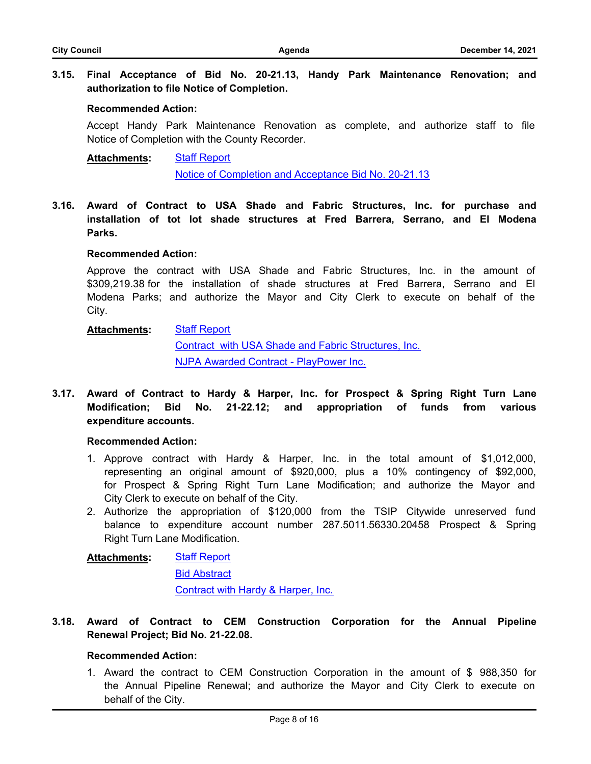### **3.15. [Final Acceptance of Bid No. 20-21.13, Handy Park Maintenance Renovation; and](http://cityoforange.legistar.com/gateway.aspx?m=l&id=/matter.aspx?key=2332) authorization to file Notice of Completion.**

### **Recommended Action:**

Accept Handy Park Maintenance Renovation as complete, and authorize staff to file Notice of Completion with the County Recorder.

#### [Staff Report](http://cityoforange.legistar.com/gateway.aspx?M=F&ID=a1d58dfe-5b19-4e1b-a1d7-1943f162ef1d.pdf) [Notice of Completion and Acceptance Bid No. 20-21.13](http://cityoforange.legistar.com/gateway.aspx?M=F&ID=adcd8eea-c79f-4514-8b59-caa20d6ee633.pdf) **Attachments:**

**3.16. [Award of Contract to USA Shade and Fabric Structures, Inc. for purchase and](http://cityoforange.legistar.com/gateway.aspx?m=l&id=/matter.aspx?key=2334) installation of tot lot shade structures at Fred Barrera, Serrano, and El Modena Parks.**

#### **Recommended Action:**

Approve the contract with USA Shade and Fabric Structures, Inc. in the amount of \$309,219.38 for the installation of shade structures at Fred Barrera, Serrano and El Modena Parks; and authorize the Mayor and City Clerk to execute on behalf of the City.

#### **[Staff Report](http://cityoforange.legistar.com/gateway.aspx?M=F&ID=cfd0338a-ae71-4d47-befa-a3c9b0e7b3a3.pdf) Attachments:**

[Contract with USA Shade and Fabric Structures, Inc.](http://cityoforange.legistar.com/gateway.aspx?M=F&ID=7e672b52-e535-4c33-a6d2-a16e93b37ece.pdf) [NJPA Awarded Contract - PlayPower Inc.](http://cityoforange.legistar.com/gateway.aspx?M=F&ID=230bbf42-22b2-4d94-b128-932a13391283.pdf)

**3.17. [Award of Contract to Hardy & Harper, Inc. for Prospect & Spring Right Turn Lane](http://cityoforange.legistar.com/gateway.aspx?m=l&id=/matter.aspx?key=2343) Modification; Bid No. 21-22.12; and appropriation of funds from various expenditure accounts.**

### **Recommended Action:**

- 1. Approve contract with Hardy & Harper, Inc. in the total amount of \$1,012,000, representing an original amount of \$920,000, plus a 10% contingency of \$92,000, for Prospect & Spring Right Turn Lane Modification; and authorize the Mayor and City Clerk to execute on behalf of the City.
- 2. Authorize the appropriation of \$120,000 from the TSIP Citywide unreserved fund balance to expenditure account number 287.5011.56330.20458 Prospect & Spring Right Turn Lane Modification.

#### [Staff Report](http://cityoforange.legistar.com/gateway.aspx?M=F&ID=bb673882-5247-4749-80af-04434a08f976.pdf) **Attachments:**

[Bid Abstract](http://cityoforange.legistar.com/gateway.aspx?M=F&ID=57af9269-6d85-4c94-8302-eaf9eb490c59.pdf)

[Contract with Hardy & Harper, Inc.](http://cityoforange.legistar.com/gateway.aspx?M=F&ID=13caa0ce-b105-41b6-8211-e45f159272d2.pdf)

### **3.18. [Award of Contract to CEM Construction Corporation for the Annual Pipeline](http://cityoforange.legistar.com/gateway.aspx?m=l&id=/matter.aspx?key=2355) Renewal Project; Bid No. 21-22.08.**

### **Recommended Action:**

1. Award the contract to CEM Construction Corporation in the amount of \$ 988,350 for the Annual Pipeline Renewal; and authorize the Mayor and City Clerk to execute on behalf of the City.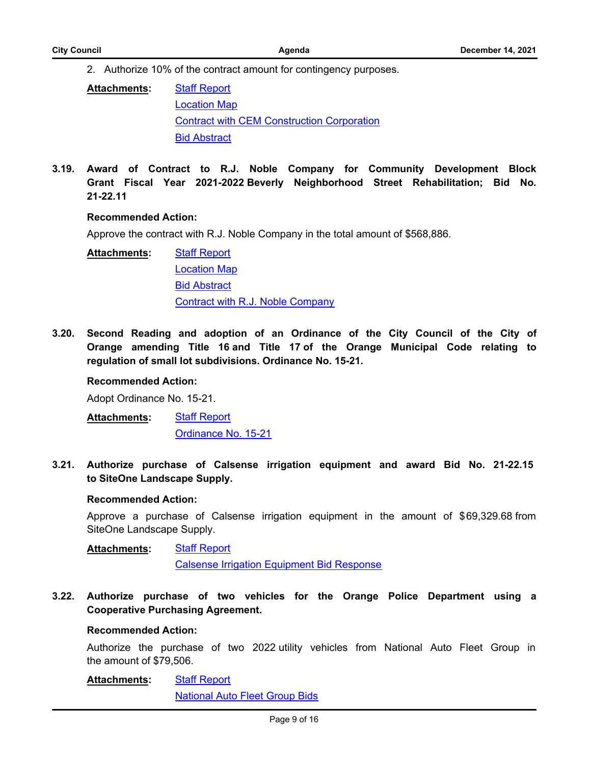2. Authorize 10% of the contract amount for contingency purposes.

| <b>Attachments:</b> | <b>Staff Report</b>                               |
|---------------------|---------------------------------------------------|
|                     | <b>Location Map</b>                               |
|                     | <b>Contract with CEM Construction Corporation</b> |
|                     | <b>Bid Abstract</b>                               |

**3.19. Award of Contract to R.J. Noble Company for Community Development Block [Grant Fiscal Year 2021-2022 Beverly Neighborhood Street Rehabilitation; Bid No.](http://cityoforange.legistar.com/gateway.aspx?m=l&id=/matter.aspx?key=2361) 21-22.11**

#### **Recommended Action:**

Approve the contract with R.J. Noble Company in the total amount of \$568,886.

[Staff Report](http://cityoforange.legistar.com/gateway.aspx?M=F&ID=81a4c98b-95a3-4eb7-91cc-b65289ec14fe.pdf) [Location Map](http://cityoforange.legistar.com/gateway.aspx?M=F&ID=9d04c3cc-6260-43d3-812f-24eb107249b8.pdf) **[Bid Abstract](http://cityoforange.legistar.com/gateway.aspx?M=F&ID=1204e6dd-3efc-4dab-a441-35225d42a500.pdf)** [Contract with R.J. Noble Company](http://cityoforange.legistar.com/gateway.aspx?M=F&ID=091283f5-a7bf-4c9c-828f-b1451bf97b37.pdf) **Attachments:**

**3.20. [Second Reading and adoption of an Ordinance of the City Council of the City of](http://cityoforange.legistar.com/gateway.aspx?m=l&id=/matter.aspx?key=2336) Orange amending Title 16 and Title 17 of the Orange Municipal Code relating to regulation of small lot subdivisions. Ordinance No. 15-21.**

#### **Recommended Action:**

Adopt Ordinance No. 15-21.

[Staff Report](http://cityoforange.legistar.com/gateway.aspx?M=F&ID=3c6429eb-d597-4e7d-8476-3f77da7ae39b.pdf) [Ordinance No. 15-21](http://cityoforange.legistar.com/gateway.aspx?M=F&ID=b891bd87-6b68-4cde-aa1c-f18a478cde5f.pdf) **Attachments:**

**3.21. [Authorize purchase of Calsense irrigation equipment and award Bid No. 21-22.15](http://cityoforange.legistar.com/gateway.aspx?m=l&id=/matter.aspx?key=2333)  to SiteOne Landscape Supply.**

#### **Recommended Action:**

Approve a purchase of Calsense irrigation equipment in the amount of \$69,329.68 from SiteOne Landscape Supply.

[Staff Report](http://cityoforange.legistar.com/gateway.aspx?M=F&ID=d85cf0b4-0165-4af6-88ce-389f52e8bb94.pdf) **Attachments:**

[Calsense Irrigation Equipment Bid Response](http://cityoforange.legistar.com/gateway.aspx?M=F&ID=341cfb5e-5248-42eb-855f-e12112e9a37d.pdf)

**3.22. [Authorize purchase of two vehicles for the Orange Police Department using a](http://cityoforange.legistar.com/gateway.aspx?m=l&id=/matter.aspx?key=2348) Cooperative Purchasing Agreement.**

#### **Recommended Action:**

Authorize the purchase of two 2022 utility vehicles from National Auto Fleet Group in the amount of \$79,506.

#### [Staff Report](http://cityoforange.legistar.com/gateway.aspx?M=F&ID=1d7ab5cf-d1ed-4939-851a-33993d30c6a9.pdf) **Attachments:**

[National Auto Fleet Group Bids](http://cityoforange.legistar.com/gateway.aspx?M=F&ID=1a0f3e1d-78d0-4e7f-b52f-e093aa32d88f.pdf)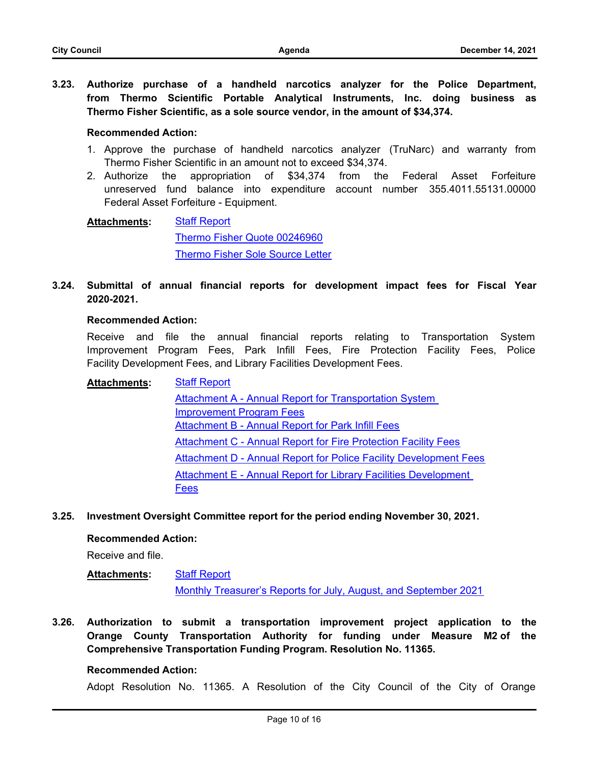**3.23. [Authorize purchase of a handheld narcotics analyzer for the Police Department,](http://cityoforange.legistar.com/gateway.aspx?m=l&id=/matter.aspx?key=2349) from Thermo Scientific Portable Analytical Instruments, Inc. doing business as Thermo Fisher Scientific, as a sole source vendor, in the amount of \$34,374.**

#### **Recommended Action:**

- 1. Approve the purchase of handheld narcotics analyzer (TruNarc) and warranty from Thermo Fisher Scientific in an amount not to exceed \$34,374.
- 2. Authorize the appropriation of \$34,374 from the Federal Asset Forfeiture unreserved fund balance into expenditure account number 355.4011.55131.00000 Federal Asset Forfeiture - Equipment.

[Staff Report](http://cityoforange.legistar.com/gateway.aspx?M=F&ID=8b98ab7e-caef-4a4a-968c-13d5ba6197d5.pdf) [Thermo Fisher Quote 00246960](http://cityoforange.legistar.com/gateway.aspx?M=F&ID=91923015-a142-4bd8-9d14-189e14ecd3bd.pdf) [Thermo Fisher Sole Source Letter](http://cityoforange.legistar.com/gateway.aspx?M=F&ID=83ce32ac-bc5e-447e-8046-914a2c9371f4.pdf) **Attachments:**

**3.24. [Submittal of annual financial reports for development impact fees for Fiscal Year](http://cityoforange.legistar.com/gateway.aspx?m=l&id=/matter.aspx?key=2370) 2020-2021.**

#### **Recommended Action:**

Receive and file the annual financial reports relating to Transportation System Improvement Program Fees, Park Infill Fees, Fire Protection Facility Fees, Police Facility Development Fees, and Library Facilities Development Fees.

[Staff Report](http://cityoforange.legistar.com/gateway.aspx?M=F&ID=54fb1bda-b998-46bd-af03-0789e65e3daa.pdf) [Attachment A - Annual Report for Transportation System](http://cityoforange.legistar.com/gateway.aspx?M=F&ID=668742a8-de4e-4514-b3fc-87ddf77f2ece.pdf)  Improvement Program Fees [Attachment B - Annual Report for Park Infill Fees](http://cityoforange.legistar.com/gateway.aspx?M=F&ID=e984f577-8890-4801-96b4-cb906ec050d3.pdf) [Attachment C - Annual Report for Fire Protection Facility Fees](http://cityoforange.legistar.com/gateway.aspx?M=F&ID=e5da5d49-dbe3-4f4d-8f76-edc20612dd7a.pdf) [Attachment D - Annual Report for Police Facility Development Fees](http://cityoforange.legistar.com/gateway.aspx?M=F&ID=a35ac036-3cec-4b93-959c-a025f2a26418.pdf) [Attachment E - Annual Report for Library Facilities Development](http://cityoforange.legistar.com/gateway.aspx?M=F&ID=8f4fc00b-afc7-481a-bb2b-e1b5a9b2b1c1.pdf)  Fees **Attachments:**

**3.25. [Investment Oversight Committee report for the period ending November 30, 2021.](http://cityoforange.legistar.com/gateway.aspx?m=l&id=/matter.aspx?key=2374)**

#### **Recommended Action:**

Receive and file.

#### [Staff Report](http://cityoforange.legistar.com/gateway.aspx?M=F&ID=827193cc-074e-49b7-9e95-9e34e358dd42.pdf) **Attachments:**

[Monthly Treasurer's Reports for July, August, and September 2021](http://cityoforange.legistar.com/gateway.aspx?M=F&ID=74840388-8fcf-419e-aafe-55b6d17853dd.pdf)

**3.26. [Authorization to submit a transportation improvement project application to the](http://cityoforange.legistar.com/gateway.aspx?m=l&id=/matter.aspx?key=2342) Orange County Transportation Authority for funding under Measure M2 of the Comprehensive Transportation Funding Program. Resolution No. 11365.**

#### **Recommended Action:**

Adopt Resolution No. 11365. A Resolution of the City Council of the City of Orange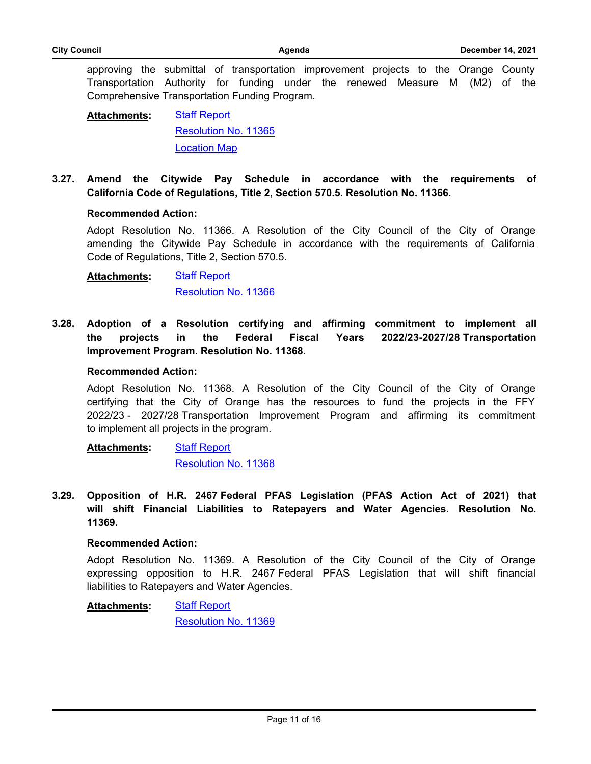approving the submittal of transportation improvement projects to the Orange County Transportation Authority for funding under the renewed Measure M (M2) of the Comprehensive Transportation Funding Program.

[Staff Report](http://cityoforange.legistar.com/gateway.aspx?M=F&ID=9cbe28ec-d999-4ebf-a0a2-e271a9bfecc3.pdf) [Resolution No. 11365](http://cityoforange.legistar.com/gateway.aspx?M=F&ID=ef5bfdf4-fff7-4010-851a-109a1bad5a58.pdf) [Location Map](http://cityoforange.legistar.com/gateway.aspx?M=F&ID=38930d09-864e-45c1-aaf5-fd85bd19c680.pdf) **Attachments:**

**3.27. [Amend the Citywide Pay Schedule in accordance with the requirements of](http://cityoforange.legistar.com/gateway.aspx?m=l&id=/matter.aspx?key=2345) California Code of Regulations, Title 2, Section 570.5. Resolution No. 11366.**

#### **Recommended Action:**

Adopt Resolution No. 11366. A Resolution of the City Council of the City of Orange amending the Citywide Pay Schedule in accordance with the requirements of California Code of Regulations, Title 2, Section 570.5.

**[Staff Report](http://cityoforange.legistar.com/gateway.aspx?M=F&ID=07b22858-91d5-4f5b-af00-b8bbbe6ab8ba.pdf)** [Resolution No. 11366](http://cityoforange.legistar.com/gateway.aspx?M=F&ID=a7c41a0f-7c03-4f7e-95c5-560ea7ca55e1.pdf) **Attachments:**

**3.28. [Adoption of a Resolution certifying and affirming commitment to implement all](http://cityoforange.legistar.com/gateway.aspx?m=l&id=/matter.aspx?key=2365) the projects in the Federal Fiscal Years 2022/23-2027/28 Transportation Improvement Program. Resolution No. 11368.**

#### **Recommended Action:**

Adopt Resolution No. 11368. A Resolution of the City Council of the City of Orange certifying that the City of Orange has the resources to fund the projects in the FFY 2022/23 - 2027/28 Transportation Improvement Program and affirming its commitment to implement all projects in the program.

[Staff Report](http://cityoforange.legistar.com/gateway.aspx?M=F&ID=25e5f6ff-3ed9-4a05-ae54-9fb5520ec6e9.pdf) [Resolution No. 11368](http://cityoforange.legistar.com/gateway.aspx?M=F&ID=0ee5ac6a-c24d-4e20-b361-cfa5b435ed53.pdf) **Attachments:**

**3.29. Opposition of H.R. 2467 Federal PFAS Legislation (PFAS Action Act of 2021) that [will shift Financial Liabilities to Ratepayers and Water Agencies. Resolution No.](http://cityoforange.legistar.com/gateway.aspx?m=l&id=/matter.aspx?key=2369) 11369.**

#### **Recommended Action:**

Adopt Resolution No. 11369. A Resolution of the City Council of the City of Orange expressing opposition to H.R. 2467 Federal PFAS Legislation that will shift financial liabilities to Ratepayers and Water Agencies.

[Staff Report](http://cityoforange.legistar.com/gateway.aspx?M=F&ID=21fc1d0a-966c-42fc-b6b8-5d4a4f8a709c.pdf) **Attachments:**

[Resolution No. 11369](http://cityoforange.legistar.com/gateway.aspx?M=F&ID=b4827340-1740-4193-8199-1dc54f5bbbc8.pdf)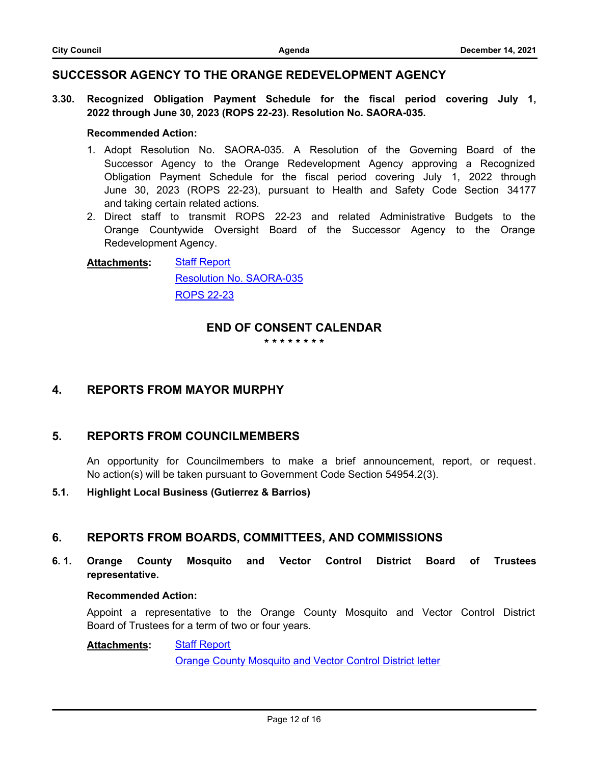### **SUCCESSOR AGENCY TO THE ORANGE REDEVELOPMENT AGENCY**

**3.30. [Recognized Obligation Payment Schedule for the fiscal period covering July 1,](http://cityoforange.legistar.com/gateway.aspx?m=l&id=/matter.aspx?key=2327) 2022 through June 30, 2023 (ROPS 22-23). Resolution No. SAORA-035.**

### **Recommended Action:**

- 1. Adopt Resolution No. SAORA-035. A Resolution of the Governing Board of the Successor Agency to the Orange Redevelopment Agency approving a Recognized Obligation Payment Schedule for the fiscal period covering July 1, 2022 through June 30, 2023 (ROPS 22-23), pursuant to Health and Safety Code Section 34177 and taking certain related actions.
- 2. Direct staff to transmit ROPS 22-23 and related Administrative Budgets to the Orange Countywide Oversight Board of the Successor Agency to the Orange Redevelopment Agency.

#### [Staff Report](http://cityoforange.legistar.com/gateway.aspx?M=F&ID=89d38f56-ea29-44db-8bf1-e2d3be14ba4a.pdf) [Resolution No. SAORA-035](http://cityoforange.legistar.com/gateway.aspx?M=F&ID=255990cc-68b4-41e4-8842-439779329bc7.pdf) [ROPS 22-23](http://cityoforange.legistar.com/gateway.aspx?M=F&ID=d7192857-5f5f-4e0d-b739-b3452678bbd0.pdf) **Attachments:**

### **END OF CONSENT CALENDAR**

**\* \* \* \* \* \* \* \***

### **4. REPORTS FROM MAYOR MURPHY**

### **5. REPORTS FROM COUNCILMEMBERS**

An opportunity for Councilmembers to make a brief announcement, report, or request. No action(s) will be taken pursuant to Government Code Section 54954.2(3).

### **5.1. Highlight Local Business (Gutierrez & Barrios)**

### **6. REPORTS FROM BOARDS, COMMITTEES, AND COMMISSIONS**

**6. 1. [Orange County Mosquito and Vector Control District Board of Trustees](http://cityoforange.legistar.com/gateway.aspx?m=l&id=/matter.aspx?key=2376) representative.**

#### **Recommended Action:**

Appoint a representative to the Orange County Mosquito and Vector Control District Board of Trustees for a term of two or four years.

[Staff Report](http://cityoforange.legistar.com/gateway.aspx?M=F&ID=22ea9be3-14ef-49c5-a2e6-87bf8d0d1d53.pdf) [Orange County Mosquito and Vector Control District letter](http://cityoforange.legistar.com/gateway.aspx?M=F&ID=274b4342-7a76-468b-896e-1053a0e0c703.pdf) **Attachments:**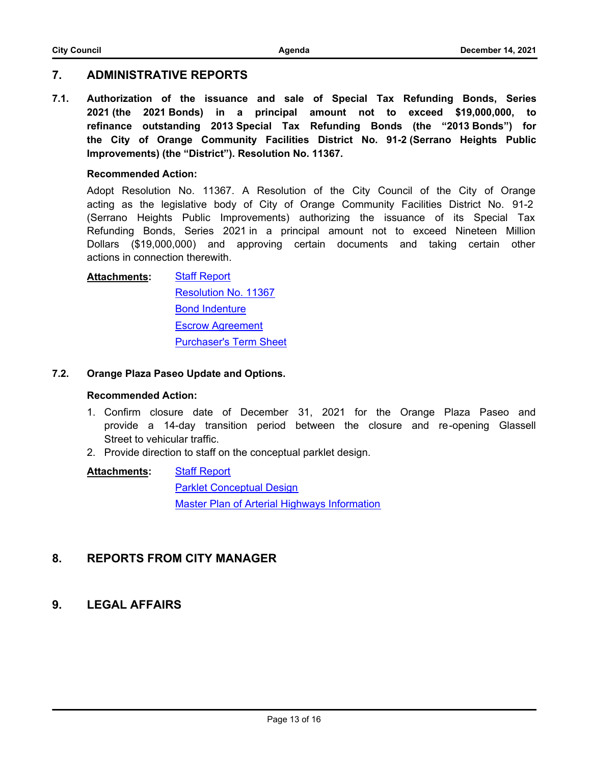### **7. ADMINISTRATIVE REPORTS**

**7.1. [Authorization of the issuance and sale of Special Tax Refunding Bonds, Series](http://cityoforange.legistar.com/gateway.aspx?m=l&id=/matter.aspx?key=2350) 2021 (the 2021 Bonds) in a principal amount not to exceed \$19,000,000, to refinance outstanding 2013 Special Tax Refunding Bonds (the "2013 Bonds") for the City of Orange Community Facilities District No. 91-2 (Serrano Heights Public Improvements) (the "District"). Resolution No. 11367.**

### **Recommended Action:**

Adopt Resolution No. 11367. A Resolution of the City Council of the City of Orange acting as the legislative body of City of Orange Community Facilities District No. 91-2 (Serrano Heights Public Improvements) authorizing the issuance of its Special Tax Refunding Bonds, Series 2021 in a principal amount not to exceed Nineteen Million Dollars (\$19,000,000) and approving certain documents and taking certain other actions in connection therewith.

#### [Staff Report](http://cityoforange.legistar.com/gateway.aspx?M=F&ID=574e30be-6ed3-47ff-9612-2ec1f9a30cf4.pdf) **Attachments:**

[Resolution No. 11367](http://cityoforange.legistar.com/gateway.aspx?M=F&ID=ae89d0c9-d6f7-4392-af89-2cf9073ed2dd.pdf) [Bond Indenture](http://cityoforange.legistar.com/gateway.aspx?M=F&ID=9fed9541-feac-49e4-8bdf-a80ac71f94e1.pdf) [Escrow Agreement](http://cityoforange.legistar.com/gateway.aspx?M=F&ID=ee1074b4-c03f-4dfc-996f-7d7103eb9ef4.pdf) [Purchaser's Term Sheet](http://cityoforange.legistar.com/gateway.aspx?M=F&ID=458dcc73-f0d7-4a10-ba28-e71138a72102.pdf)

### **7.2. [Orange Plaza Paseo Update and Options.](http://cityoforange.legistar.com/gateway.aspx?m=l&id=/matter.aspx?key=2279)**

### **Recommended Action:**

- 1. Confirm closure date of December 31, 2021 for the Orange Plaza Paseo and provide a 14-day transition period between the closure and re-opening Glassell Street to vehicular traffic.
- 2. Provide direction to staff on the conceptual parklet design.

**[Staff Report](http://cityoforange.legistar.com/gateway.aspx?M=F&ID=a574c694-d50c-42a4-b5c1-d45eef838f3f.pdf)** [Parklet Conceptual Design](http://cityoforange.legistar.com/gateway.aspx?M=F&ID=627e4997-6284-4b37-b58a-c4092120986b.pdf) [Master Plan of Arterial Highways Information](http://cityoforange.legistar.com/gateway.aspx?M=F&ID=b08b0101-2bb7-4e6a-b09c-01a3852c7079.pdf) **Attachments:**

## **8. REPORTS FROM CITY MANAGER**

### **9. LEGAL AFFAIRS**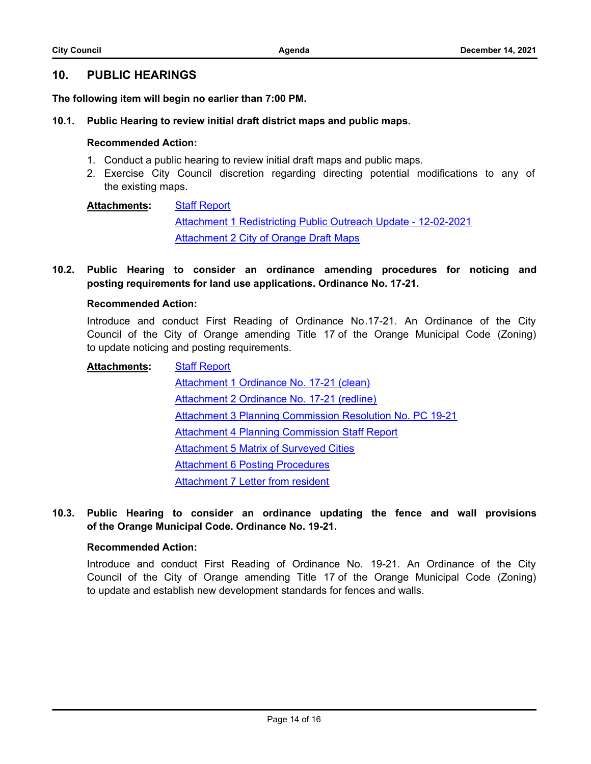### **10. PUBLIC HEARINGS**

**The following item will begin no earlier than 7:00 PM.**

#### **10.1. [Public Hearing to review initial draft district maps and public maps.](http://cityoforange.legistar.com/gateway.aspx?m=l&id=/matter.aspx?key=2346)**

### **Recommended Action:**

- 1. Conduct a public hearing to review initial draft maps and public maps.
- 2. Exercise City Council discretion regarding directing potential modifications to any of the existing maps.

[Staff Report](http://cityoforange.legistar.com/gateway.aspx?M=F&ID=3b3aa464-c9ef-4886-b860-7835c91f9754.pdf) [Attachment 1 Redistricting Public Outreach Update - 12-02-2021](http://cityoforange.legistar.com/gateway.aspx?M=F&ID=7682abf1-f48b-4972-8cdb-5689bfbe15e6.pdf) [Attachment 2 City of Orange Draft Maps](http://cityoforange.legistar.com/gateway.aspx?M=F&ID=3a543f73-45e2-43ef-835a-02474a297dd7.pdf) **Attachments:**

**10.2. [Public Hearing to consider an ordinance amending procedures for noticing and](http://cityoforange.legistar.com/gateway.aspx?m=l&id=/matter.aspx?key=2149) posting requirements for land use applications. Ordinance No. 17-21.**

### **Recommended Action:**

Introduce and conduct First Reading of Ordinance No.17-21. An Ordinance of the City Council of the City of Orange amending Title 17 of the Orange Municipal Code (Zoning) to update noticing and posting requirements.

- [Staff Report](http://cityoforange.legistar.com/gateway.aspx?M=F&ID=4d557c51-2888-4ec2-8e67-83a8847ee37b.pdf) [Attachment 1 Ordinance No. 17-21 \(clean\)](http://cityoforange.legistar.com/gateway.aspx?M=F&ID=73f2ad78-0b49-47ec-9294-d94139dca8f3.pdf) [Attachment 2 Ordinance No. 17-21 \(redline\)](http://cityoforange.legistar.com/gateway.aspx?M=F&ID=f47b272d-dcb9-4e98-be02-7a48b39c1045.pdf) [Attachment 3 Planning Commission Resolution No. PC 19-21](http://cityoforange.legistar.com/gateway.aspx?M=F&ID=7d029e69-937d-43ec-9cf0-3f965d38f793.pdf) [Attachment 4 Planning Commission Staff Report](http://cityoforange.legistar.com/gateway.aspx?M=F&ID=5d195d9f-c06d-4312-bf22-1628e3908120.pdf) [Attachment 5 Matrix of Surveyed Cities](http://cityoforange.legistar.com/gateway.aspx?M=F&ID=1740c16c-ffe6-4b9e-b834-3a5964f37d03.pdf) [Attachment 6 Posting Procedures](http://cityoforange.legistar.com/gateway.aspx?M=F&ID=82bdb848-4600-4f8e-bd11-7e6bdbe9b432.pdf) [Attachment 7 Letter from resident](http://cityoforange.legistar.com/gateway.aspx?M=F&ID=9cea8135-9d48-45e6-93ad-b2cad3b51df6.pdf) **Attachments:**
- **10.3. [Public Hearing to consider an ordinance updating the fence and wall provisions](http://cityoforange.legistar.com/gateway.aspx?m=l&id=/matter.aspx?key=2322) of the Orange Municipal Code. Ordinance No. 19-21.**

### **Recommended Action:**

Introduce and conduct First Reading of Ordinance No. 19-21. An Ordinance of the City Council of the City of Orange amending Title 17 of the Orange Municipal Code (Zoning) to update and establish new development standards for fences and walls.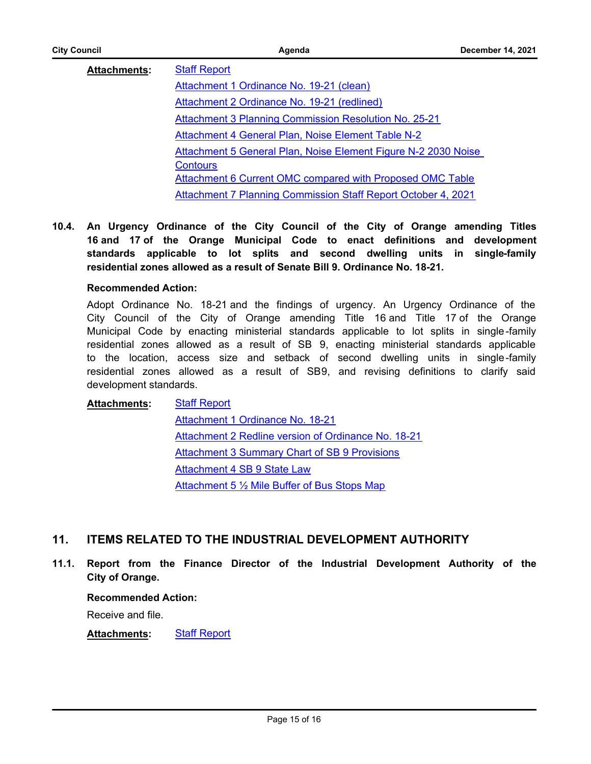| <b>City Council</b> | Agenda                                                               | <b>December 14, 2021</b> |
|---------------------|----------------------------------------------------------------------|--------------------------|
| <b>Attachments:</b> | <b>Staff Report</b>                                                  |                          |
|                     | Attachment 1 Ordinance No. 19-21 (clean)                             |                          |
|                     | <b>Attachment 2 Ordinance No. 19-21 (redlined)</b>                   |                          |
|                     | <b>Attachment 3 Planning Commission Resolution No. 25-21</b>         |                          |
|                     | Attachment 4 General Plan, Noise Element Table N-2                   |                          |
|                     | Attachment 5 General Plan, Noise Element Figure N-2 2030 Noise       |                          |
|                     | <b>Contours</b>                                                      |                          |
|                     | Attachment 6 Current OMC compared with Proposed OMC Table            |                          |
|                     | <b>Attachment 7 Planning Commission Staff Report October 4, 2021</b> |                          |

**10.4. An Urgency Ordinance of the City Council of the City of Orange amending Titles 16 and 17 of the Orange Municipal Code to enact definitions and development [standards applicable to lot splits and second dwelling units in single-family](http://cityoforange.legistar.com/gateway.aspx?m=l&id=/matter.aspx?key=2344) residential zones allowed as a result of Senate Bill 9. Ordinance No. 18-21.**

#### **Recommended Action:**

Adopt Ordinance No. 18-21 and the findings of urgency. An Urgency Ordinance of the City Council of the City of Orange amending Title 16 and Title 17 of the Orange Municipal Code by enacting ministerial standards applicable to lot splits in single-family residential zones allowed as a result of SB 9, enacting ministerial standards applicable to the location, access size and setback of second dwelling units in single-family residential zones allowed as a result of SB9, and revising definitions to clarify said development standards.

[Staff Report](http://cityoforange.legistar.com/gateway.aspx?M=F&ID=cb98af9f-1739-4c33-9f49-41e91406520c.pdf) [Attachment 1 Ordinance No. 18-21](http://cityoforange.legistar.com/gateway.aspx?M=F&ID=b446cb62-1c6a-4347-8b3e-59aef72a15d2.pdf) [Attachment 2 Redline version of Ordinance No. 18-21](http://cityoforange.legistar.com/gateway.aspx?M=F&ID=5945ae04-abcd-4b89-8294-14642e53f8da.pdf) [Attachment 3 Summary Chart of SB 9 Provisions](http://cityoforange.legistar.com/gateway.aspx?M=F&ID=42e7315a-80d4-44c8-9488-8db5df002b1d.pdf) [Attachment 4 SB 9 State Law](http://cityoforange.legistar.com/gateway.aspx?M=F&ID=8dc112cc-89a2-4ac8-a818-0bea7fa0cad6.pdf) [Attachment 5 ½ Mile Buffer of Bus Stops Map](http://cityoforange.legistar.com/gateway.aspx?M=F&ID=160ac536-e1e5-4fc2-a625-aba23ceafb46.pdf) **Attachments:**

### **11. ITEMS RELATED TO THE INDUSTRIAL DEVELOPMENT AUTHORITY**

**11.1. [Report from the Finance Director of the Industrial Development Authority of the](http://cityoforange.legistar.com/gateway.aspx?m=l&id=/matter.aspx?key=2321) City of Orange.**

#### **Recommended Action:**

Receive and file.

**Attachments:** [Staff Report](http://cityoforange.legistar.com/gateway.aspx?M=F&ID=ce3bdc12-09e2-4bbc-829d-4234f3fa0f7c.pdf)